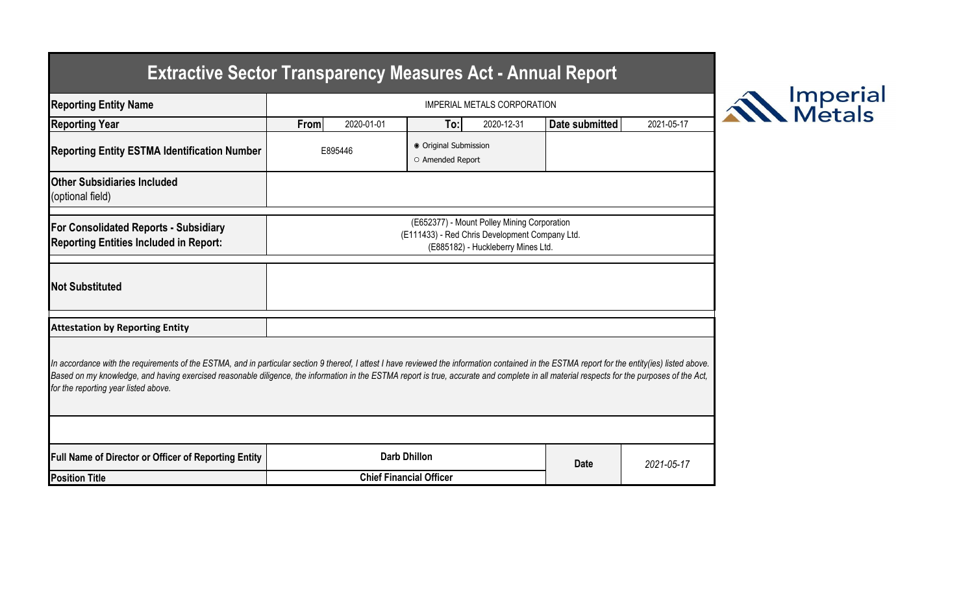## **Extractive Sector Transparency Measures Act - Annual Report**

| <b>Reporting Entity Name</b>                                                                                                                                                                                                                                                                                                                                                                                                          | <b>IMPERIAL METALS CORPORATION</b>                                                                                                  |            |                                           |            |                |            |  |  |
|---------------------------------------------------------------------------------------------------------------------------------------------------------------------------------------------------------------------------------------------------------------------------------------------------------------------------------------------------------------------------------------------------------------------------------------|-------------------------------------------------------------------------------------------------------------------------------------|------------|-------------------------------------------|------------|----------------|------------|--|--|
| <b>Reporting Year</b>                                                                                                                                                                                                                                                                                                                                                                                                                 | From                                                                                                                                | 2020-01-01 | To:                                       | 2020-12-31 | Date submitted | 2021-05-17 |  |  |
| <b>Reporting Entity ESTMA Identification Number</b>                                                                                                                                                                                                                                                                                                                                                                                   | E895446                                                                                                                             |            | ● Original Submission<br>O Amended Report |            |                |            |  |  |
| <b>Other Subsidiaries Included</b><br>(optional field)                                                                                                                                                                                                                                                                                                                                                                                |                                                                                                                                     |            |                                           |            |                |            |  |  |
| <b>For Consolidated Reports - Subsidiary</b><br><b>Reporting Entities Included in Report:</b>                                                                                                                                                                                                                                                                                                                                         | (E652377) - Mount Polley Mining Corporation<br>(E111433) - Red Chris Development Company Ltd.<br>(E885182) - Huckleberry Mines Ltd. |            |                                           |            |                |            |  |  |
| <b>Not Substituted</b>                                                                                                                                                                                                                                                                                                                                                                                                                |                                                                                                                                     |            |                                           |            |                |            |  |  |
| <b>Attestation by Reporting Entity</b>                                                                                                                                                                                                                                                                                                                                                                                                |                                                                                                                                     |            |                                           |            |                |            |  |  |
| In accordance with the requirements of the ESTMA, and in particular section 9 thereof, I attest I have reviewed the information contained in the ESTMA report for the entity(ies) listed above.<br>Based on my knowledge, and having exercised reasonable diligence, the information in the ESTMA report is true, accurate and complete in all material respects for the purposes of the Act,<br>for the reporting year listed above. |                                                                                                                                     |            |                                           |            |                |            |  |  |
|                                                                                                                                                                                                                                                                                                                                                                                                                                       |                                                                                                                                     |            |                                           |            |                |            |  |  |
| <b>Full Name of Director or Officer of Reporting Entity</b>                                                                                                                                                                                                                                                                                                                                                                           |                                                                                                                                     |            | <b>Darb Dhillon</b>                       |            | <b>Date</b>    | 2021-05-17 |  |  |
| <b>Position Title</b>                                                                                                                                                                                                                                                                                                                                                                                                                 | <b>Chief Financial Officer</b>                                                                                                      |            |                                           |            |                |            |  |  |

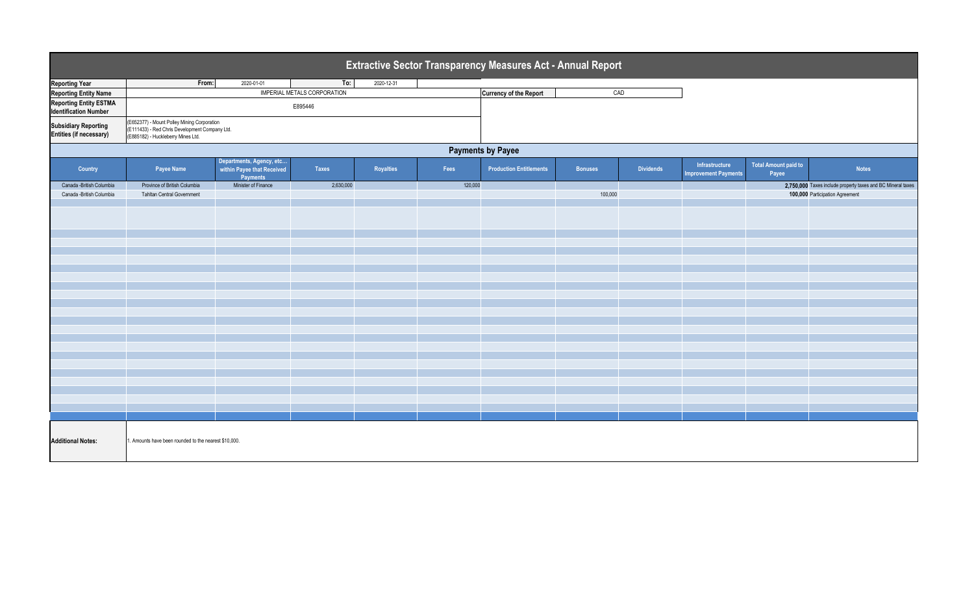| Extractive Sector Transparency Measures Act - Annual Report   |                                                                                                                                     |                                                                    |                                    |            |         |                                |                |                  |                                               |                               |                                                             |
|---------------------------------------------------------------|-------------------------------------------------------------------------------------------------------------------------------------|--------------------------------------------------------------------|------------------------------------|------------|---------|--------------------------------|----------------|------------------|-----------------------------------------------|-------------------------------|-------------------------------------------------------------|
| <b>Reporting Year</b>                                         | From:                                                                                                                               | 2020-01-01                                                         | To:                                | 2020-12-31 |         |                                |                |                  |                                               |                               |                                                             |
| <b>Reporting Entity Name</b>                                  |                                                                                                                                     |                                                                    | <b>IMPERIAL METALS CORPORATION</b> |            |         | <b>Currency of the Report</b>  | CAD            |                  |                                               |                               |                                                             |
| <b>Reporting Entity ESTMA</b><br><b>Identification Number</b> | E895446                                                                                                                             |                                                                    |                                    |            |         |                                |                |                  |                                               |                               |                                                             |
| <b>Subsidiary Reporting</b><br>Entities (if necessary)        | (E652377) - Mount Polley Mining Corporation<br>(E111433) - Red Chris Development Company Ltd.<br>(E885182) - Huckleberry Mines Ltd. |                                                                    |                                    |            |         |                                |                |                  |                                               |                               |                                                             |
| <b>Payments by Payee</b>                                      |                                                                                                                                     |                                                                    |                                    |            |         |                                |                |                  |                                               |                               |                                                             |
| Country                                                       | Payee Name                                                                                                                          | Departments, Agency, etc<br>within Payee that Received<br>Payments | Taxes                              | Royalties  | Fees    | <b>Production Entitlements</b> | <b>Bonuses</b> | <b>Dividends</b> | Infrastructure<br><b>Improvement Payments</b> | Total Amount paid to<br>Payee | <b>Notes</b>                                                |
| Canada - British Columbia                                     | Province of British Columbia                                                                                                        | Minister of Finance                                                | 2,630,000                          |            | 120,000 |                                |                |                  |                                               |                               | 2,750,000 Taxes include property taxes and BC Mineral taxes |
| Canada -British Columbia                                      | <b>Tahltan Central Government</b>                                                                                                   |                                                                    |                                    |            |         |                                | 100,000        |                  |                                               |                               | 100,000 Participation Agreement                             |
|                                                               |                                                                                                                                     |                                                                    |                                    |            |         |                                |                |                  |                                               |                               |                                                             |
|                                                               |                                                                                                                                     |                                                                    |                                    |            |         |                                |                |                  |                                               |                               |                                                             |
|                                                               |                                                                                                                                     |                                                                    |                                    |            |         |                                |                |                  |                                               |                               |                                                             |
|                                                               |                                                                                                                                     |                                                                    |                                    |            |         |                                |                |                  |                                               |                               |                                                             |
|                                                               |                                                                                                                                     |                                                                    |                                    |            |         |                                |                |                  |                                               |                               |                                                             |
|                                                               |                                                                                                                                     |                                                                    |                                    |            |         |                                |                |                  |                                               |                               |                                                             |
|                                                               |                                                                                                                                     |                                                                    |                                    |            |         |                                |                |                  |                                               |                               |                                                             |
|                                                               |                                                                                                                                     |                                                                    |                                    |            |         |                                |                |                  |                                               |                               |                                                             |
| <b>Additional Notes:</b>                                      | 1. Amounts have been rounded to the nearest \$10,000.                                                                               |                                                                    |                                    |            |         |                                |                |                  |                                               |                               |                                                             |